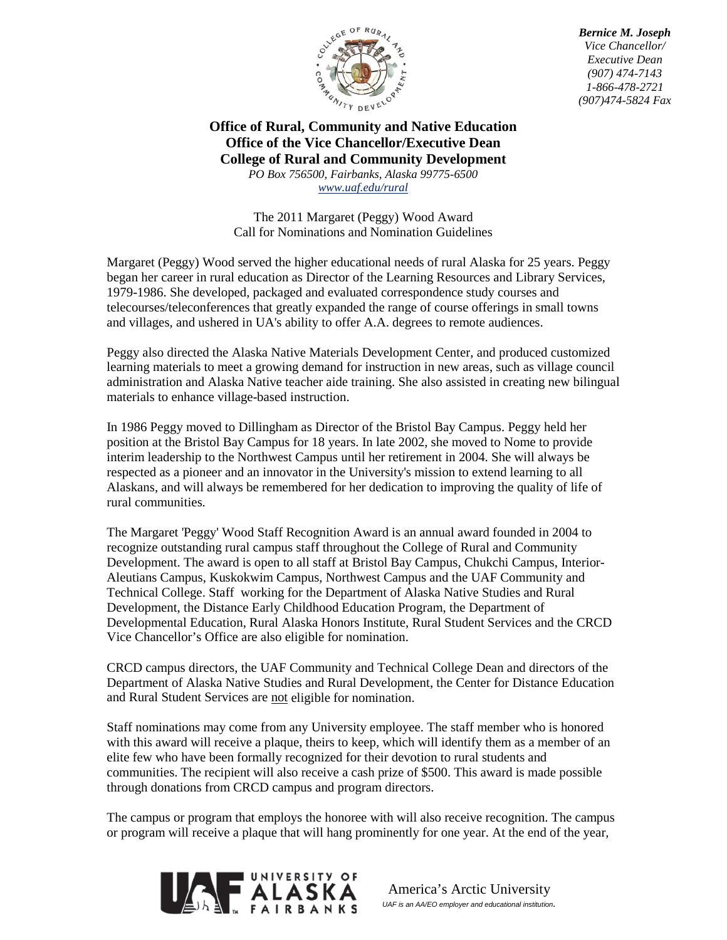

*Bernice M. Joseph Vice Chancellor/ Executive Dean (907) 474-7143 1-866-478-2721 (907)474-5824 Fax*

## **Office of Rural, Community and Native Education Office of the Vice Chancellor/Executive Dean College of Rural and Community Development** *PO Box 756500, Fairbanks, Alaska 99775-6500*

*[www.uaf.edu/rural](http://www.uaf.edu/rural)*

The 2011 Margaret (Peggy) Wood Award Call for Nominations and Nomination Guidelines

Margaret (Peggy) Wood served the higher educational needs of rural Alaska for 25 years. Peggy began her career in rural education as Director of the Learning Resources and Library Services, 1979-1986. She developed, packaged and evaluated correspondence study courses and telecourses/teleconferences that greatly expanded the range of course offerings in small towns and villages, and ushered in UA's ability to offer A.A. degrees to remote audiences.

Peggy also directed the Alaska Native Materials Development Center, and produced customized learning materials to meet a growing demand for instruction in new areas, such as village council administration and Alaska Native teacher aide training. She also assisted in creating new bilingual materials to enhance village-based instruction.

In 1986 Peggy moved to Dillingham as Director of the Bristol Bay Campus. Peggy held her position at the Bristol Bay Campus for 18 years. In late 2002, she moved to Nome to provide interim leadership to the Northwest Campus until her retirement in 2004. She will always be respected as a pioneer and an innovator in the University's mission to extend learning to all Alaskans, and will always be remembered for her dedication to improving the quality of life of rural communities.

The Margaret 'Peggy' Wood Staff Recognition Award is an annual award founded in 2004 to recognize outstanding rural campus staff throughout the College of Rural and Community Development. The award is open to all staff at Bristol Bay Campus, Chukchi Campus, Interior-Aleutians Campus, Kuskokwim Campus, Northwest Campus and the UAF Community and Technical College. Staff working for the Department of Alaska Native Studies and Rural Development, the Distance Early Childhood Education Program, the Department of Developmental Education, Rural Alaska Honors Institute, Rural Student Services and the CRCD Vice Chancellor's Office are also eligible for nomination.

CRCD campus directors, the UAF Community and Technical College Dean and directors of the Department of Alaska Native Studies and Rural Development, the Center for Distance Education and Rural Student Services are not eligible for nomination.

Staff nominations may come from any University employee. The staff member who is honored with this award will receive a plaque, theirs to keep, which will identify them as a member of an elite few who have been formally recognized for their devotion to rural students and communities. The recipient will also receive a cash prize of \$500. This award is made possible through donations from CRCD campus and program directors.

The campus or program that employs the honoree with will also receive recognition. The campus or program will receive a plaque that will hang prominently for one year. At the end of the year,